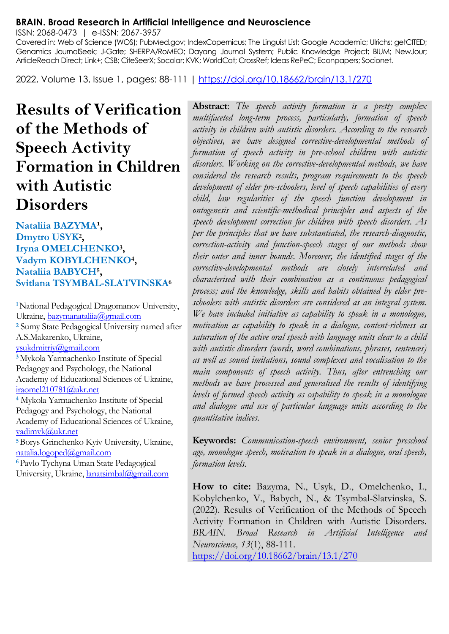#### **BRAIN. Broad Research in Artificial Intelligence and Neuroscience**

ISSN: 2068-0473 | e-ISSN: 2067-3957

Covered in: Web of Science (WOS); PubMed.gov; IndexCopernicus; The Linguist List; Google Academic; Ulrichs; getCITED; Genamics JournalSeek; J-Gate; SHERPA/RoMEO; Dayang Journal System; Public Knowledge Project; BIUM; NewJour; ArticleReach Direct; Link+; CSB; CiteSeerX; Socolar; KVK; WorldCat; CrossRef; Ideas RePeC; Econpapers; Socionet.

2022, Volume 13, Issue 1, pages: 88-111 |<https://doi.org/10.18662/brain/13.1/270>

**Results of Verification of the Methods of Speech Activity Formation in Children with Autistic Disorders**

Nataliia BAZYMA<sup>1</sup>, **Dmytro USYK<sup>2</sup> , Iryna OMELCHENKO<sup>3</sup> , Vadym KOBYLCHENKO<sup>4</sup> , Nataliia BABYCH<sup>5</sup> , Svitlana TSYMBAL-SLATVINSKA<sup>6</sup>**

**<sup>1</sup>**National Pedagogical Dragomanov University, Ukraine[, bazymanataliia@gmail.com](mailto:bazymanataliia@gmail.com) **<sup>2</sup>** Sumy State Pedagogical University named after A.S.Makarenko, Ukraine, [ysukdmitriy@gmail.com](mailto:ysukdmitriy@gmail.com)  **<sup>3</sup>**Mykola Yarmachenko Institute of Special Pedagogy and Psychology, the National Academy of Educational Sciences of Ukraine, [iraomel210781@ukr.net](mailto:iraomel210781@ukr.net) **<sup>4</sup>** Mykola Yarmachenko Institute of Special Pedagogy and Psychology, the National Academy of Educational Sciences of Ukraine, [vadimvk@ukr.net](mailto:vadimvk@ukr.net) **<sup>5</sup>**Borys Grinchenko Kyiv University, Ukraine, [natalia.logoped@gmail.com](mailto:natalia.logoped@gmail.com) **<sup>6</sup>**Pavlo Tychyna Uman State Pedagogical University, Ukraine, lanatsimbal@gmail.com

**Abstract**: *The speech activity formation is a pretty complex multifaceted long-term process, particularly, formation of speech activity in children with autistic disorders. According to the research objectives, we have designed corrective-developmental methods of formation of speech activity in pre-school children with autistic disorders. Working on the corrective-developmental methods, we have considered the research results, program requirements to the speech development of elder pre-schoolers, level of speech capabilities of every child, law regularities of the speech function development in ontogenesis and scientific-methodical principles and aspects of the speech development correction for children with speech disorders. As per the principles that we have substantiated, the research-diagnostic, correction-activity and function-speech stages of our methods show their outer and inner bounds. Moreover, the identified stages of the corrective-developmental methods are closely interrelated and characterised with their combination as a continuous pedagogical process; and the knowledge, skills and habits obtained by elder preschoolers with autistic disorders are considered as an integral system. We have included initiative as capability to speak in a monologue, motivation as capability to speak in a dialogue, content-richness as saturation of the active oral speech with language units clear to a child with autistic disorders (words, word combinations, phrases, sentences) as well as sound imitations, sound complexes and vocalisation to the main components of speech activity. Thus, after entrenching our methods we have processed and generalised the results of identifying levels of formed speech activity as capability to speak in a monologue and dialogue and use of particular language units according to the quantitative indices.*

**Keywords:** *Communication-speech environment, senior preschool age, monologue speech, motivation to speak in a dialogue, oral speech, formation levels.*

**How to cite:** Bazyma, N., Usyk, D., Omelchenko, I., Kobylchenko, V., Babych, N., & Tsymbal-Slatvinska, S. (2022). Results of Verification of the Methods of Speech Activity Formation in Children with Autistic Disorders. *BRAIN. Broad Research in Artificial Intelligence and Neuroscience, 13*(1), 88-111.

<https://doi.org/10.18662/brain/13.1/270>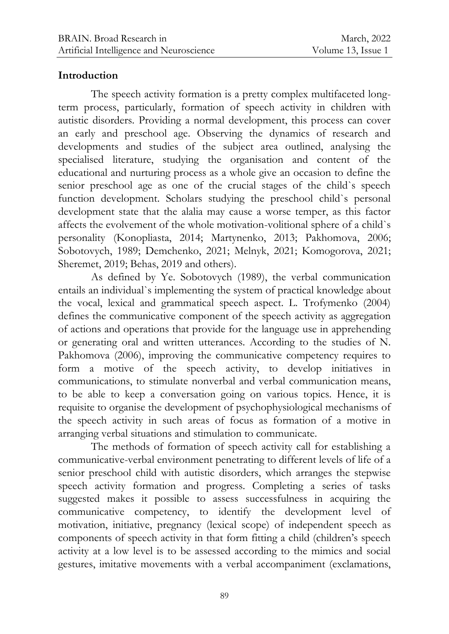### **Introduction**

The speech activity formation is a pretty complex multifaceted longterm process, particularly, formation of speech activity in children with autistic disorders. Providing a normal development, this process can cover an early and preschool age. Observing the dynamics of research and developments and studies of the subject area outlined, analysing the specialised literature, studying the organisation and content of the educational and nurturing process as a whole give an occasion to define the senior preschool age as one of the crucial stages of the child`s speech function development. Scholars studying the preschool child`s personal development state that the alalia may cause a worse temper, as this factor affects the evolvement of the whole motivation-volitional sphere of a child`s personality (Konopliasta, 2014; Martynenko, 2013; Pakhomova, 2006; Sobotovych, 1989; Demchenko, 2021; Melnyk, 2021; Komogorova, 2021; Sheremet, 2019; Behas, 2019 and others).

As defined by Ye. Sobotovych (1989), the verbal communication entails an individual`s implementing the system of practical knowledge about the vocal, lexical and grammatical speech aspect. L. Trofymenko (2004) defines the communicative component of the speech activity as aggregation of actions and operations that provide for the language use in apprehending or generating oral and written utterances. According to the studies of N. Pakhomova (2006), improving the communicative competency requires to form a motive of the speech activity, to develop initiatives in communications, to stimulate nonverbal and verbal communication means, to be able to keep a conversation going on various topics. Hence, it is requisite to organise the development of psychophysiological mechanisms of the speech activity in such areas of focus as formation of a motive in arranging verbal situations and stimulation to communicate.

The methods of formation of speech activity call for establishing a communicative-verbal environment penetrating to different levels of life of a senior preschool child with autistic disorders, which arranges the stepwise speech activity formation and progress. Completing a series of tasks suggested makes it possible to assess successfulness in acquiring the communicative competency, to identify the development level of motivation, initiative, pregnancy (lexical scope) of independent speech as components of speech activity in that form fitting a child (children's speech activity at a low level is to be assessed according to the mimics and social gestures, imitative movements with a verbal accompaniment (exclamations,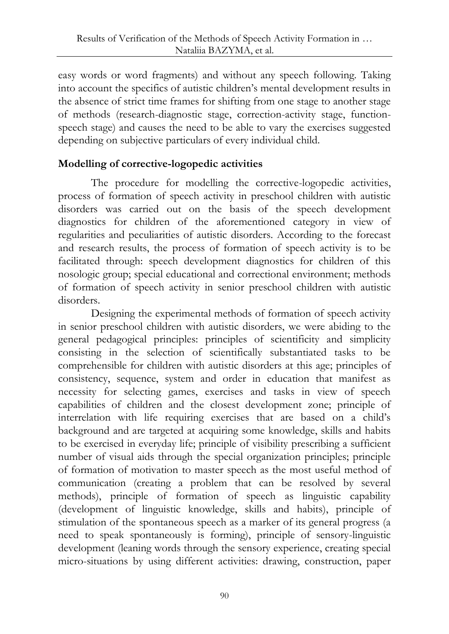easy words or word fragments) and without any speech following. Taking into account the specifics of autistic children's mental development results in the absence of strict time frames for shifting from one stage to another stage of methods (research-diagnostic stage, correction-activity stage, functionspeech stage) and causes the need to be able to vary the exercises suggested depending on subjective particulars of every individual child.

# **Modelling of corrective-logopedic activities**

The procedure for modelling the corrective-logopedic activities, process of formation of speech activity in preschool children with autistic disorders was carried out on the basis of the speech development diagnostics for children of the aforementioned category in view of regularities and peculiarities of autistic disorders. According to the forecast and research results, the process of formation of speech activity is to be facilitated through: speech development diagnostics for children of this nosologic group; special educational and correctional environment; methods of formation of speech activity in senior preschool children with autistic disorders.

Designing the experimental methods of formation of speech activity in senior preschool children with autistic disorders, we were abiding to the general pedagogical principles: principles of scientificity and simplicity consisting in the selection of scientifically substantiated tasks to be comprehensible for children with autistic disorders at this age; principles of consistency, sequence, system and order in education that manifest as necessity for selecting games, exercises and tasks in view of speech capabilities of children and the closest development zone; principle of interrelation with life requiring exercises that are based on a child's background and are targeted at acquiring some knowledge, skills and habits to be exercised in everyday life; principle of visibility prescribing a sufficient number of visual aids through the special organization principles; principle of formation of motivation to master speech as the most useful method of communication (creating a problem that can be resolved by several methods), principle of formation of speech as linguistic capability (development of linguistic knowledge, skills and habits), principle of stimulation of the spontaneous speech as a marker of its general progress (a need to speak spontaneously is forming), principle of sensory-linguistic development (leaning words through the sensory experience, creating special micro-situations by using different activities: drawing, construction, paper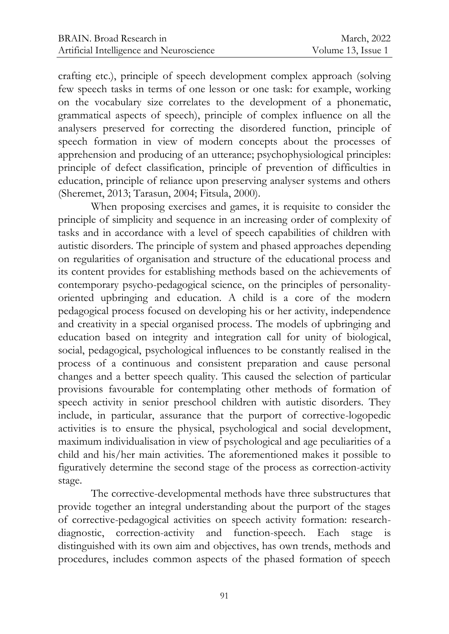crafting etc.), principle of speech development complex approach (solving few speech tasks in terms of one lesson or one task: for example, working on the vocabulary size correlates to the development of a phonematic, grammatical aspects of speech), principle of complex influence on all the analysers preserved for correcting the disordered function, principle of speech formation in view of modern concepts about the processes of apprehension and producing of an utterance; psychophysiological principles: principle of defect classification, principle of prevention of difficulties in education, principle of reliance upon preserving analyser systems and others (Sheremet, 2013; Tarasun, 2004; Fitsula, 2000).

When proposing exercises and games, it is requisite to consider the principle of simplicity and sequence in an increasing order of complexity of tasks and in accordance with a level of speech capabilities of children with autistic disorders. The principle of system and phased approaches depending on regularities of organisation and structure of the educational process and its content provides for establishing methods based on the achievements of contemporary psycho-pedagogical science, on the principles of personalityoriented upbringing and education. A child is a core of the modern pedagogical process focused on developing his or her activity, independence and creativity in a special organised process. The models of upbringing and education based on integrity and integration call for unity of biological, social, pedagogical, psychological influences to be constantly realised in the process of a continuous and consistent preparation and cause personal changes and a better speech quality. This caused the selection of particular provisions favourable for contemplating other methods of formation of speech activity in senior preschool children with autistic disorders. They include, in particular, assurance that the purport of corrective-logopedic activities is to ensure the physical, psychological and social development, maximum individualisation in view of psychological and age peculiarities of a child and his/her main activities. The aforementioned makes it possible to figuratively determine the second stage of the process as correction-activity stage.

The corrective-developmental methods have three substructures that provide together an integral understanding about the purport of the stages of corrective-pedagogical activities on speech activity formation: researchdiagnostic, correction-activity and function-speech. Each stage is distinguished with its own aim and objectives, has own trends, methods and procedures, includes common aspects of the phased formation of speech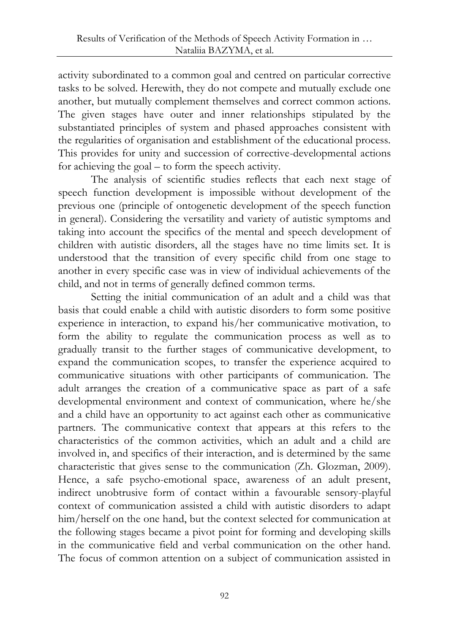activity subordinated to a common goal and centred on particular corrective tasks to be solved. Herewith, they do not compete and mutually exclude one another, but mutually complement themselves and correct common actions. The given stages have outer and inner relationships stipulated by the substantiated principles of system and phased approaches consistent with the regularities of organisation and establishment of the educational process. This provides for unity and succession of corrective-developmental actions for achieving the goal – to form the speech activity.

The analysis of scientific studies reflects that each next stage of speech function development is impossible without development of the previous one (principle of ontogenetic development of the speech function in general). Considering the versatility and variety of autistic symptoms and taking into account the specifics of the mental and speech development of children with autistic disorders, all the stages have no time limits set. It is understood that the transition of every specific child from one stage to another in every specific case was in view of individual achievements of the child, and not in terms of generally defined common terms.

Setting the initial communication of an adult and a child was that basis that could enable a child with autistic disorders to form some positive experience in interaction, to expand his/her communicative motivation, to form the ability to regulate the communication process as well as to gradually transit to the further stages of communicative development, to expand the communication scopes, to transfer the experience acquired to communicative situations with other participants of communication. The adult arranges the creation of a communicative space as part of a safe developmental environment and context of communication, where he/she and a child have an opportunity to act against each other as communicative partners. The communicative context that appears at this refers to the characteristics of the common activities, which an adult and a child are involved in, and specifics of their interaction, and is determined by the same characteristic that gives sense to the communication (Zh. Glozman, 2009). Hence, a safe psycho-emotional space, awareness of an adult present, indirect unobtrusive form of contact within a favourable sensory-playful context of communication assisted a child with autistic disorders to adapt him/herself on the one hand, but the context selected for communication at the following stages became a pivot point for forming and developing skills in the communicative field and verbal communication on the other hand. The focus of common attention on a subject of communication assisted in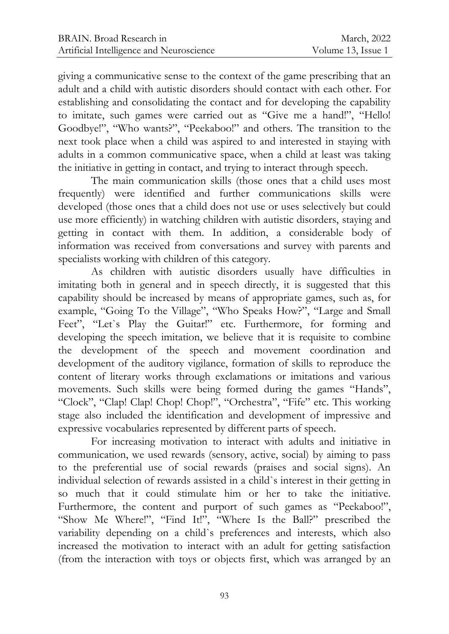giving a communicative sense to the context of the game prescribing that an adult and a child with autistic disorders should contact with each other. For establishing and consolidating the contact and for developing the capability to imitate, such games were carried out as "Give me a hand!", "Hello! Goodbye!", "Who wants?", "Peekaboo!" and others. The transition to the next took place when a child was aspired to and interested in staying with adults in a common communicative space, when a child at least was taking the initiative in getting in contact, and trying to interact through speech.

The main communication skills (those ones that a child uses most frequently) were identified and further communications skills were developed (those ones that a child does not use or uses selectively but could use more efficiently) in watching children with autistic disorders, staying and getting in contact with them. In addition, a considerable body of information was received from conversations and survey with parents and specialists working with children of this category.

As children with autistic disorders usually have difficulties in imitating both in general and in speech directly, it is suggested that this capability should be increased by means of appropriate games, such as, for example, "Going To the Village", "Who Speaks How?", "Large and Small Feet", "Let's Play the Guitar!" etc. Furthermore, for forming and developing the speech imitation, we believe that it is requisite to combine the development of the speech and movement coordination and development of the auditory vigilance, formation of skills to reproduce the content of literary works through exclamations or imitations and various movements. Such skills were being formed during the games "Hands", "Clock", "Clap! Clap! Chop! Chop!", "Orchestra", "Fife" etc. This working stage also included the identification and development of impressive and expressive vocabularies represented by different parts of speech.

For increasing motivation to interact with adults and initiative in communication, we used rewards (sensory, active, social) by aiming to pass to the preferential use of social rewards (praises and social signs). An individual selection of rewards assisted in a child`s interest in their getting in so much that it could stimulate him or her to take the initiative. Furthermore, the content and purport of such games as "Peekaboo!", "Show Me Where!", "Find It!", "Where Is the Ball?" prescribed the variability depending on a child`s preferences and interests, which also increased the motivation to interact with an adult for getting satisfaction (from the interaction with toys or objects first, which was arranged by an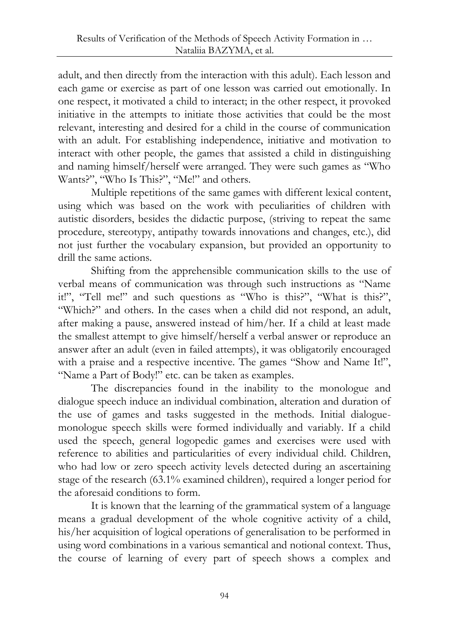adult, and then directly from the interaction with this adult). Each lesson and each game or exercise as part of one lesson was carried out emotionally. In one respect, it motivated a child to interact; in the other respect, it provoked initiative in the attempts to initiate those activities that could be the most relevant, interesting and desired for a child in the course of communication with an adult. For establishing independence, initiative and motivation to interact with other people, the games that assisted a child in distinguishing and naming himself/herself were arranged. They were such games as "Who Wants?", "Who Is This?", "Me!" and others.

Multiple repetitions of the same games with different lexical content, using which was based on the work with peculiarities of children with autistic disorders, besides the didactic purpose, (striving to repeat the same procedure, stereotypy, antipathy towards innovations and changes, etc.), did not just further the vocabulary expansion, but provided an opportunity to drill the same actions.

Shifting from the apprehensible communication skills to the use of verbal means of communication was through such instructions as "Name it!", "Tell me!" and such questions as "Who is this?", "What is this?", "Which?" and others. In the cases when a child did not respond, an adult, after making a pause, answered instead of him/her. If a child at least made the smallest attempt to give himself/herself a verbal answer or reproduce an answer after an adult (even in failed attempts), it was obligatorily encouraged with a praise and a respective incentive. The games "Show and Name It!", "Name a Part of Body!" etc. can be taken as examples.

The discrepancies found in the inability to the monologue and dialogue speech induce an individual combination, alteration and duration of the use of games and tasks suggested in the methods. Initial dialoguemonologue speech skills were formed individually and variably. If a child used the speech, general logopedic games and exercises were used with reference to abilities and particularities of every individual child. Children, who had low or zero speech activity levels detected during an ascertaining stage of the research (63.1% examined children), required a longer period for the aforesaid conditions to form.

It is known that the learning of the grammatical system of a language means a gradual development of the whole cognitive activity of a child, his/her acquisition of logical operations of generalisation to be performed in using word combinations in a various semantical and notional context. Thus, the course of learning of every part of speech shows a complex and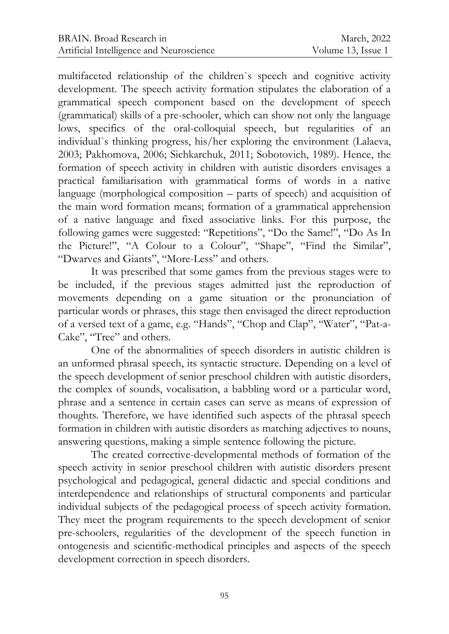multifaceted relationship of the children`s speech and cognitive activity development. The speech activity formation stipulates the elaboration of a grammatical speech component based on the development of speech (grammatical) skills of a pre-schooler, which can show not only the language lows, specifics of the oral-colloquial speech, but regularities of an individual`s thinking progress, his/her exploring the environment (Lalaeva, 2003; Pakhomova, 2006; Sichkarchuk, 2011; Sobotovich, 1989). Hence, the formation of speech activity in children with autistic disorders envisages a practical familiarisation with grammatical forms of words in a native language (morphological composition – parts of speech) and acquisition of the main word formation means; formation of a grammatical apprehension of a native language and fixed associative links. For this purpose, the following games were suggested: "Repetitions", "Do the Same!", "Do As In the Picture!", "A Colour to a Colour", "Shape", "Find the Similar", "Dwarves and Giants", "More-Less" and others.

It was prescribed that some games from the previous stages were to be included, if the previous stages admitted just the reproduction of movements depending on a game situation or the pronunciation of particular words or phrases, this stage then envisaged the direct reproduction of a versed text of a game, e.g. "Hands", "Chop and Clap", "Water", "Pat-a-Cake", "Tree" and others.

One of the abnormalities of speech disorders in autistic children is an unformed phrasal speech, its syntactic structure. Depending on a level of the speech development of senior preschool children with autistic disorders, the complex of sounds, vocalisation, a babbling word or a particular word, phrase and a sentence in certain cases can serve as means of expression of thoughts. Therefore, we have identified such aspects of the phrasal speech formation in children with autistic disorders as matching adjectives to nouns, answering questions, making a simple sentence following the picture.

The created corrective-developmental methods of formation of the speech activity in senior preschool children with autistic disorders present psychological and pedagogical, general didactic and special conditions and interdependence and relationships of structural components and particular individual subjects of the pedagogical process of speech activity formation. They meet the program requirements to the speech development of senior pre-schoolers, regularities of the development of the speech function in ontogenesis and scientific-methodical principles and aspects of the speech development correction in speech disorders.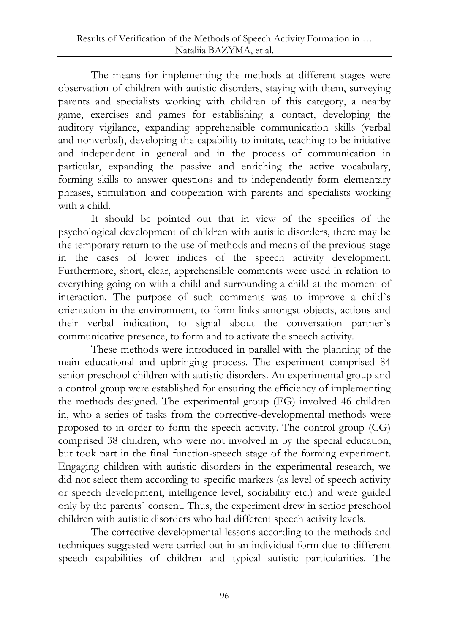The means for implementing the methods at different stages were observation of children with autistic disorders, staying with them, surveying parents and specialists working with children of this category, a nearby game, exercises and games for establishing a contact, developing the auditory vigilance, expanding apprehensible communication skills (verbal and nonverbal), developing the capability to imitate, teaching to be initiative and independent in general and in the process of communication in particular, expanding the passive and enriching the active vocabulary, forming skills to answer questions and to independently form elementary phrases, stimulation and cooperation with parents and specialists working with a child.

It should be pointed out that in view of the specifics of the psychological development of children with autistic disorders, there may be the temporary return to the use of methods and means of the previous stage in the cases of lower indices of the speech activity development. Furthermore, short, clear, apprehensible comments were used in relation to everything going on with a child and surrounding a child at the moment of interaction. The purpose of such comments was to improve a child`s orientation in the environment, to form links amongst objects, actions and their verbal indication, to signal about the conversation partner`s communicative presence, to form and to activate the speech activity.

These methods were introduced in parallel with the planning of the main educational and upbringing process. The experiment comprised 84 senior preschool children with autistic disorders. An experimental group and a control group were established for ensuring the efficiency of implementing the methods designed. The experimental group (EG) involved 46 children in, who a series of tasks from the corrective-developmental methods were proposed to in order to form the speech activity. The control group (CG) comprised 38 children, who were not involved in by the special education, but took part in the final function-speech stage of the forming experiment. Engaging children with autistic disorders in the experimental research, we did not select them according to specific markers (as level of speech activity or speech development, intelligence level, sociability etc.) and were guided only by the parents` consent. Thus, the experiment drew in senior preschool children with autistic disorders who had different speech activity levels.

The corrective-developmental lessons according to the methods and techniques suggested were carried out in an individual form due to different speech capabilities of children and typical autistic particularities. The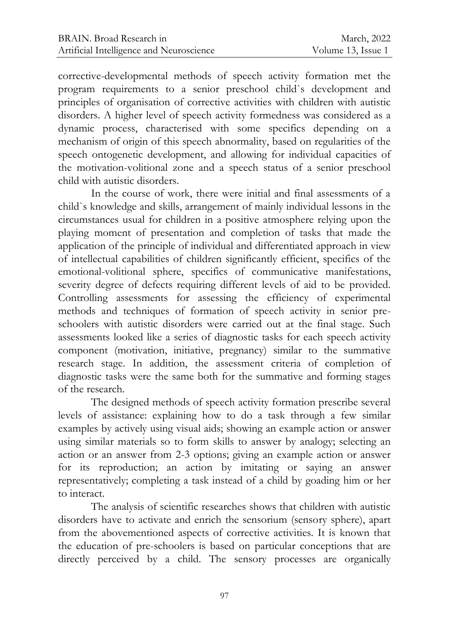corrective-developmental methods of speech activity formation met the program requirements to a senior preschool child`s development and principles of organisation of corrective activities with children with autistic disorders. A higher level of speech activity formedness was considered as a dynamic process, characterised with some specifics depending on a mechanism of origin of this speech abnormality, based on regularities of the speech ontogenetic development, and allowing for individual capacities of the motivation-volitional zone and a speech status of a senior preschool child with autistic disorders.

In the course of work, there were initial and final assessments of a child`s knowledge and skills, arrangement of mainly individual lessons in the circumstances usual for children in a positive atmosphere relying upon the playing moment of presentation and completion of tasks that made the application of the principle of individual and differentiated approach in view of intellectual capabilities of children significantly efficient, specifics of the emotional-volitional sphere, specifics of communicative manifestations, severity degree of defects requiring different levels of aid to be provided. Controlling assessments for assessing the efficiency of experimental methods and techniques of formation of speech activity in senior preschoolers with autistic disorders were carried out at the final stage. Such assessments looked like a series of diagnostic tasks for each speech activity component (motivation, initiative, pregnancy) similar to the summative research stage. In addition, the assessment criteria of completion of diagnostic tasks were the same both for the summative and forming stages of the research.

The designed methods of speech activity formation prescribe several levels of assistance: explaining how to do a task through a few similar examples by actively using visual aids; showing an example action or answer using similar materials so to form skills to answer by analogy; selecting an action or an answer from 2-3 options; giving an example action or answer for its reproduction; an action by imitating or saying an answer representatively; completing a task instead of a child by goading him or her to interact.

The analysis of scientific researches shows that children with autistic disorders have to activate and enrich the sensorium (sensory sphere), apart from the abovementioned aspects of corrective activities. It is known that the education of pre-schoolers is based on particular conceptions that are directly perceived by a child. The sensory processes are organically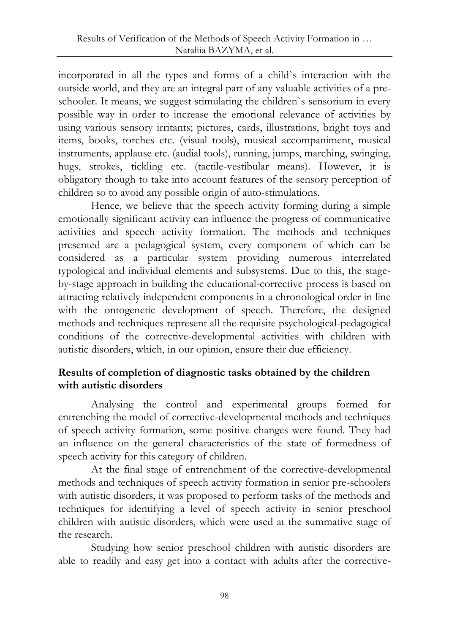incorporated in all the types and forms of a child`s interaction with the outside world, and they are an integral part of any valuable activities of a preschooler. It means, we suggest stimulating the children`s sensorium in every possible way in order to increase the emotional relevance of activities by using various sensory irritants; pictures, cards, illustrations, bright toys and items, books, torches etc. (visual tools), musical accompaniment, musical instruments, applause etc. (audial tools), running, jumps, marching, swinging, hugs, strokes, tickling etc. (tactile-vestibular means). However, it is obligatory though to take into account features of the sensory perception of children so to avoid any possible origin of auto-stimulations.

Hence, we believe that the speech activity forming during a simple emotionally significant activity can influence the progress of communicative activities and speech activity formation. The methods and techniques presented are a pedagogical system, every component of which can be considered as a particular system providing numerous interrelated typological and individual elements and subsystems. Due to this, the stageby-stage approach in building the educational-corrective process is based on attracting relatively independent components in a chronological order in line with the ontogenetic development of speech. Therefore, the designed methods and techniques represent all the requisite psychological-pedagogical conditions of the corrective-developmental activities with children with autistic disorders, which, in our opinion, ensure their due efficiency.

# **Results of completion of diagnostic tasks obtained by the children with autistic disorders**

Analysing the control and experimental groups formed for entrenching the model of corrective-developmental methods and techniques of speech activity formation, some positive changes were found. They had an influence on the general characteristics of the state of formedness of speech activity for this category of children.

At the final stage of entrenchment of the corrective-developmental methods and techniques of speech activity formation in senior pre-schoolers with autistic disorders, it was proposed to perform tasks of the methods and techniques for identifying a level of speech activity in senior preschool children with autistic disorders, which were used at the summative stage of the research.

Studying how senior preschool children with autistic disorders are able to readily and easy get into a contact with adults after the corrective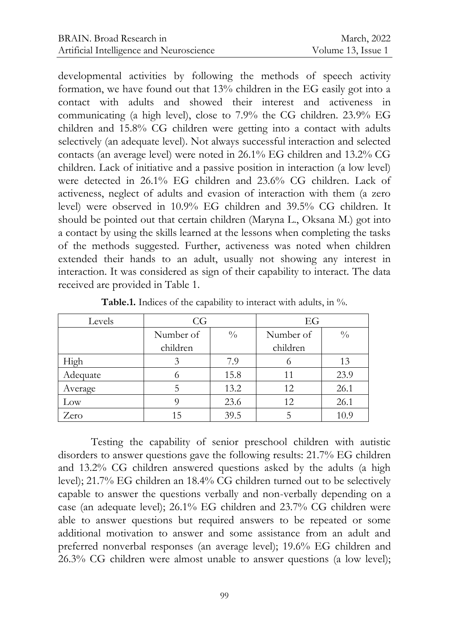developmental activities by following the methods of speech activity formation, we have found out that 13% children in the EG easily got into a contact with adults and showed their interest and activeness in communicating (a high level), close to 7.9% the CG children. 23.9% EG children and 15.8% CG children were getting into a contact with adults selectively (an adequate level). Not always successful interaction and selected contacts (an average level) were noted in 26.1% EG children and 13.2% CG children. Lack of initiative and a passive position in interaction (a low level) were detected in 26.1% EG children and 23.6% CG children. Lack of activeness, neglect of adults and evasion of interaction with them (a zero level) were observed in 10.9% EG children and 39.5% CG children. It should be pointed out that certain children (Maryna L., Oksana M.) got into a contact by using the skills learned at the lessons when completing the tasks of the methods suggested. Further, activeness was noted when children extended their hands to an adult, usually not showing any interest in interaction. It was considered as sign of their capability to interact. The data received are provided in Table 1.

| Levels   | CG        |               | EG        |               |
|----------|-----------|---------------|-----------|---------------|
|          | Number of | $\frac{0}{0}$ | Number of | $\frac{0}{0}$ |
|          | children  |               | children  |               |
| High     | 3         | 7.9           | 0         | 13            |
| Adequate |           | 15.8          | 11        | 23.9          |
| Average  | 5         | 13.2          | 12        | 26.1          |
| Low      |           | 23.6          | 12        | 26.1          |
| Zero     | 15        | 39.5          |           | 10.9          |

Table.1. Indices of the capability to interact with adults, in %.

Testing the capability of senior preschool children with autistic disorders to answer questions gave the following results: 21.7% EG children and 13.2% CG children answered questions asked by the adults (a high level); 21.7% EG children an 18.4% CG children turned out to be selectively capable to answer the questions verbally and non-verbally depending on a case (an adequate level); 26.1% EG children and 23.7% CG children were able to answer questions but required answers to be repeated or some additional motivation to answer and some assistance from an adult and preferred nonverbal responses (an average level); 19.6% EG children and 26.3% CG children were almost unable to answer questions (a low level);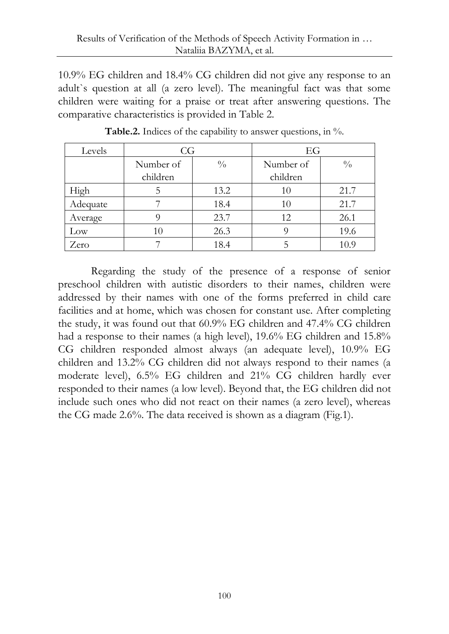10.9% EG children and 18.4% CG children did not give any response to an adult`s question at all (a zero level). The meaningful fact was that some children were waiting for a praise or treat after answering questions. The comparative characteristics is provided in Table 2.

| Levels   | CG        |               | EG        |               |
|----------|-----------|---------------|-----------|---------------|
|          | Number of | $\frac{0}{0}$ | Number of | $\frac{0}{0}$ |
|          | children  |               | children  |               |
| High     |           | 13.2          | 10        | 21.7          |
| Adequate |           | 18.4          | 10        | 21.7          |
| Average  |           | 23.7          | 12        | 26.1          |
| Low      | 10        | 26.3          |           | 19.6          |
| Zero     |           | 18.4          |           | 10.9          |

**Table.2.** Indices of the capability to answer questions, in %.

Regarding the study of the presence of a response of senior preschool children with autistic disorders to their names, children were addressed by their names with one of the forms preferred in child care facilities and at home, which was chosen for constant use. After completing the study, it was found out that 60.9% EG children and 47.4% CG children had a response to their names (a high level), 19.6% EG children and 15.8% CG children responded almost always (an adequate level), 10.9% EG children and 13.2% CG children did not always respond to their names (a moderate level), 6.5% EG children and 21% CG children hardly ever responded to their names (a low level). Beyond that, the EG children did not include such ones who did not react on their names (a zero level), whereas the CG made 2.6%. The data received is shown as a diagram (Fig.1).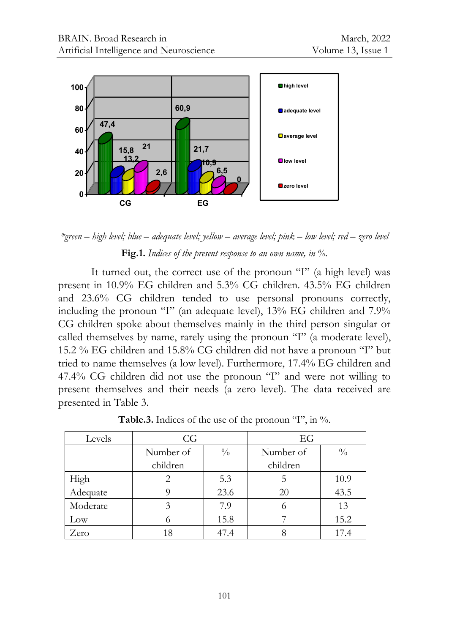

*\*green – high level; blue – adequate level; yellow – average level; pink – low level; red – zero level* **Fig.1.** *Indices of the present response to an own name, in %.*

47,4<br>
15,8 <sup>21</sup><br>
13,2<br>
13,2<br>
cg <sup>2,6</sup><br> *egh level; blue – adequate level; yellow –*<br>
Fig.1. *Indices of the present res*<br>
turned out, the correct use of<br>  $\%$  CG children and 5.3<br>  $\%$  CG children and 15.8<br>
cmp control (an It turned out, the correct use of the pronoun "I" (a high level) was present in 10.9% EG children and 5.3% CG children. 43.5% EG children and 23.6% CG children tended to use personal pronouns correctly, including the pronoun "I" (an adequate level), 13% EG children and 7.9% CG children spoke about themselves mainly in the third person singular or called themselves by name, rarely using the pronoun "I" (a moderate level), 15.2 % EG children and 15.8% CG children did not have a pronoun "I" but tried to name themselves (a low level). Furthermore, 17.4% EG children and 47.4% CG children did not use the pronoun "I" and were not willing to present themselves and their needs (a zero level). The data received are presented in Table 3.

| Levels   | CG        |               | EG        |               |
|----------|-----------|---------------|-----------|---------------|
|          | Number of | $\frac{0}{0}$ | Number of | $\frac{0}{0}$ |
|          | children  |               | children  |               |
| High     |           | 5.3           |           | 10.9          |
| Adequate |           | 23.6          | 20        | 43.5          |
| Moderate |           | 7.9           |           | 13            |
| Low      |           | 15.8          |           | 15.2          |
| Zero     | 18        | 47.4          |           | 17.4          |

Table.3. Indices of the use of the pronoun "I", in %.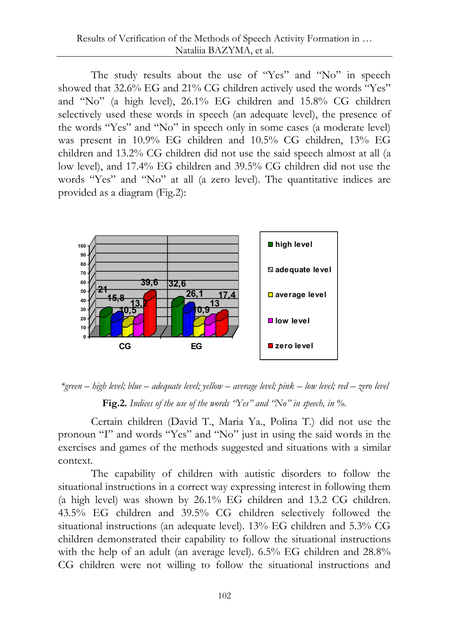The study results about the use of "Yes" and "No" in speech showed that 32.6% EG and 21% CG children actively used the words "Yes" and "No" (a high level), 26.1% EG children and 15.8% CG children selectively used these words in speech (an adequate level), the presence of the words "Yes" and "No" in speech only in some cases (a moderate level) was present in 10.9% EG children and 10.5% CG children, 13% EG children and 13.2% CG children did not use the said speech almost at all (a low level), and 17.4% EG children and 39.5% CG children did not use the words "Yes" and "No" at all (a zero level). The quantitative indices are provided as a diagram (Fig.2):





Certain children (David T., Maria Ya., Polina T.) did not use the pronoun "I" and words "Yes" and "No" just in using the said words in the exercises and games of the methods suggested and situations with a similar context.

The capability of children with autistic disorders to follow the situational instructions in a correct way expressing interest in following them (a high level) was shown by 26.1% EG children and 13.2 CG children. 43.5% EG children and 39.5% CG children selectively followed the situational instructions (an adequate level). 13% EG children and 5.3% CG children demonstrated their capability to follow the situational instructions with the help of an adult (an average level). 6.5% EG children and 28.8% CG children were not willing to follow the situational instructions and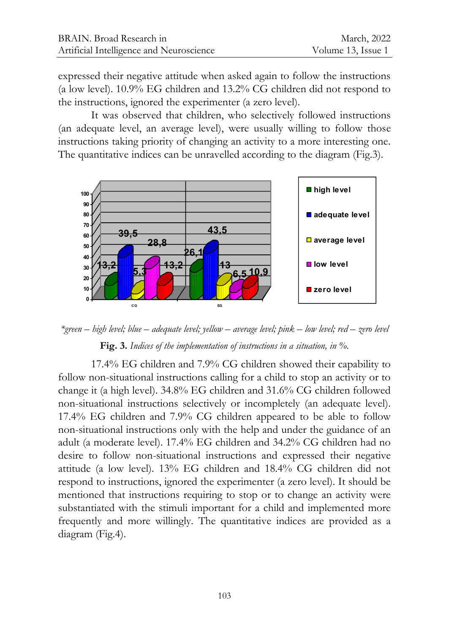expressed their negative attitude when asked again to follow the instructions (a low level). 10.9% EG children and 13.2% CG children did not respond to the instructions, ignored the experimenter (a zero level).

It was observed that children, who selectively followed instructions (an adequate level, an average level), were usually willing to follow those instructions taking priority of changing an activity to a more interesting one. The quantitative indices can be unravelled according to the diagram (Fig.3).



*\*green – high level; blue – adequate level; yellow – average level; pink – low level; red – zero level* **Fig. 3.** *Indices of the implementation of instructions in a situation, in %.*

17.4% EG children and 7.9% CG children showed their capability to follow non-situational instructions calling for a child to stop an activity or to change it (a high level). 34.8% EG children and 31.6% CG children followed non-situational instructions selectively or incompletely (an adequate level). 17.4% EG children and 7.9% CG children appeared to be able to follow non-situational instructions only with the help and under the guidance of an adult (a moderate level). 17.4% EG children and 34.2% CG children had no desire to follow non-situational instructions and expressed their negative attitude (a low level). 13% EG children and 18.4% CG children did not respond to instructions, ignored the experimenter (a zero level). It should be mentioned that instructions requiring to stop or to change an activity were substantiated with the stimuli important for a child and implemented more frequently and more willingly. The quantitative indices are provided as a diagram (Fig.4).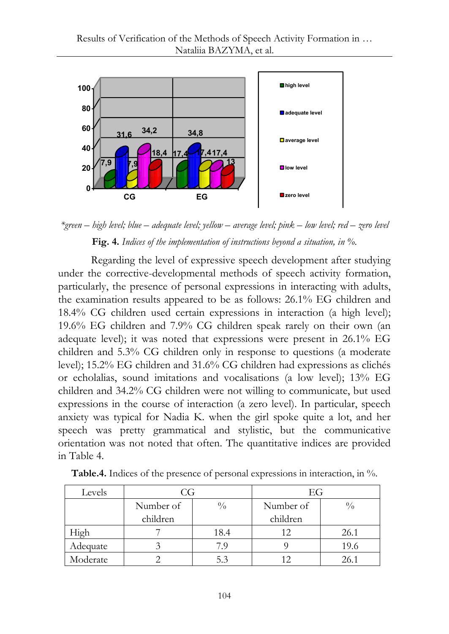

*\*green – high level; blue – adequate level; yellow – average level; pink – low level; red – zero level* **Fig. 4.** *Indices of the implementation of instructions beyond a situation, in %.*

Regarding the level of expressive speech development after studying under the corrective-developmental methods of speech activity formation, particularly, the presence of personal expressions in interacting with adults, the examination results appeared to be as follows: 26.1% EG children and 18.4% CG children used certain expressions in interaction (a high level); 19.6% EG children and 7.9% CG children speak rarely on their own (an adequate level); it was noted that expressions were present in 26.1% EG children and 5.3% CG children only in response to questions (a moderate level); 15.2% EG children and 31.6% CG children had expressions as clichés or echolalias, sound imitations and vocalisations (a low level); 13% EG children and 34.2% CG children were not willing to communicate, but used expressions in the course of interaction (a zero level). In particular, speech anxiety was typical for Nadia K. when the girl spoke quite a lot, and her speech was pretty grammatical and stylistic, but the communicative orientation was not noted that often. The quantitative indices are provided in Table 4.

| Levels   | CG        |               | ЕG        |               |
|----------|-----------|---------------|-----------|---------------|
|          | Number of | $\frac{0}{0}$ | Number of | $\frac{0}{0}$ |
|          | children  |               | children  |               |
| High     |           | 18.4          | 12        | 26.1          |
| Adequate |           |               |           | 19.6          |
| Moderate |           |               |           | 26.1          |

**Table.4.** Indices of the presence of personal expressions in interaction, in %.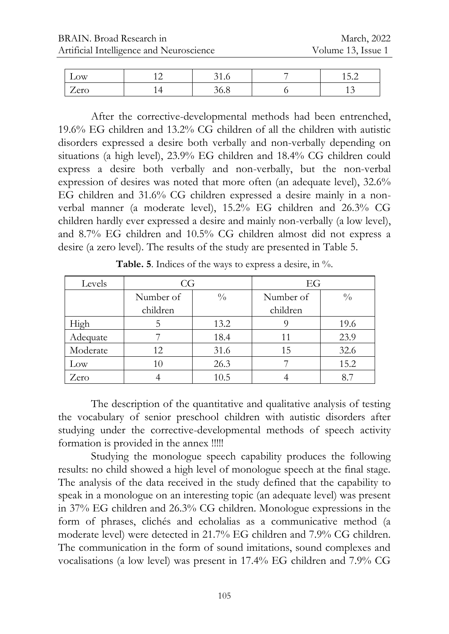| Low           | $\sim$ | J I .U      | - | $\overline{\phantom{0}}$<br>∽<br>-<br>1 J . L |
|---------------|--------|-------------|---|-----------------------------------------------|
| err<br>$\sim$ | . .    | <b>JU.O</b> |   | $\overline{ }$                                |

After the corrective-developmental methods had been entrenched, 19.6% EG children and 13.2% CG children of all the children with autistic disorders expressed a desire both verbally and non-verbally depending on situations (a high level), 23.9% EG children and 18.4% CG children could express a desire both verbally and non-verbally, but the non-verbal expression of desires was noted that more often (an adequate level), 32.6% EG children and 31.6% CG children expressed a desire mainly in a nonverbal manner (a moderate level), 15.2% EG children and 26.3% CG children hardly ever expressed a desire and mainly non-verbally (a low level), and 8.7% EG children and 10.5% CG children almost did not express a desire (a zero level). The results of the study are presented in Table 5.

| Levels   | CG        |               | EG        |               |
|----------|-----------|---------------|-----------|---------------|
|          | Number of | $\frac{0}{0}$ | Number of | $\frac{0}{0}$ |
|          | children  |               | children  |               |
| High     |           | 13.2          |           | 19.6          |
| Adequate |           | 18.4          |           | 23.9          |
| Moderate | 12        | 31.6          | 15        | 32.6          |
| Low      | 10        | 26.3          |           | 15.2          |
| Zero     |           | 10.5          |           |               |

**Table. 5**. Indices of the ways to express a desire, in %.

The description of the quantitative and qualitative analysis of testing the vocabulary of senior preschool children with autistic disorders after studying under the corrective-developmental methods of speech activity formation is provided in the annex !!!!!

Studying the monologue speech capability produces the following results: no child showed a high level of monologue speech at the final stage. The analysis of the data received in the study defined that the capability to speak in a monologue on an interesting topic (an adequate level) was present in 37% EG children and 26.3% CG children. Monologue expressions in the form of phrases, clichés and echolalias as a communicative method (a moderate level) were detected in 21.7% EG children and 7.9% CG children. The communication in the form of sound imitations, sound complexes and vocalisations (a low level) was present in 17.4% EG children and 7.9% CG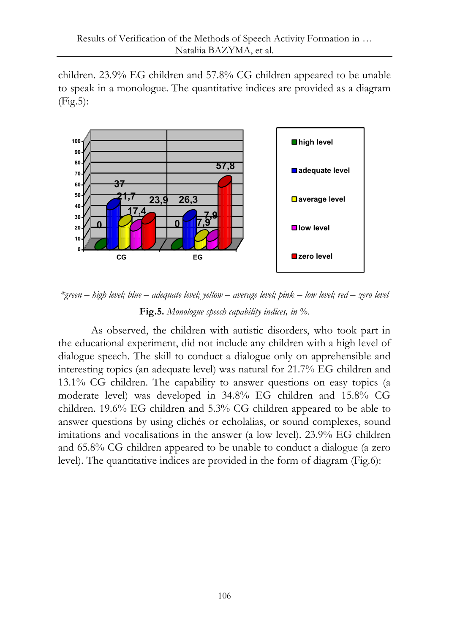children. 23.9% EG children and 57.8% CG children appeared to be unable to speak in a monologue. The quantitative indices are provided as a diagram (Fig.5):



*\*green – high level; blue – adequate level; yellow – average level; pink – low level; red – zero level*

# **Fig.5.** *Monologue speech capability indices, in %.*

As observed, the children with autistic disorders, who took part in the educational experiment, did not include any children with a high level of dialogue speech. The skill to conduct a dialogue only on apprehensible and interesting topics (an adequate level) was natural for 21.7% EG children and 13.1% CG children. The capability to answer questions on easy topics (a moderate level) was developed in 34.8% EG children and 15.8% CG children. 19.6% EG children and 5.3% CG children appeared to be able to answer questions by using clichés or echolalias, or sound complexes, sound imitations and vocalisations in the answer (a low level). 23.9% EG children and 65.8% CG children appeared to be unable to conduct a dialogue (a zero level). The quantitative indices are provided in the form of diagram (Fig.6):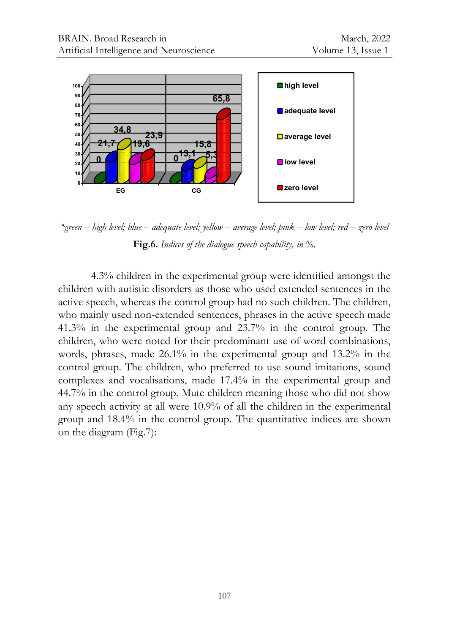

*\*green – high level; blue – adequate level; yellow – average level; pink – low level; red – zero level* **Fig.6.** *Indices of the dialogue speech capability, in %*.

4.3% children in the experimental group were identified amongst the children with autistic disorders as those who used extended sentences in the active speech, whereas the control group had no such children. The children, who mainly used non-extended sentences, phrases in the active speech made 41.3% in the experimental group and 23.7% in the control group. The children, who were noted for their predominant use of word combinations, words, phrases, made 26.1% in the experimental group and 13.2% in the control group. The children, who preferred to use sound imitations, sound complexes and vocalisations, made 17.4% in the experimental group and 44.7% in the control group. Mute children meaning those who did not show any speech activity at all were 10.9% of all the children in the experimental group and 18.4% in the control group. The quantitative indices are shown on the diagram (Fig.7):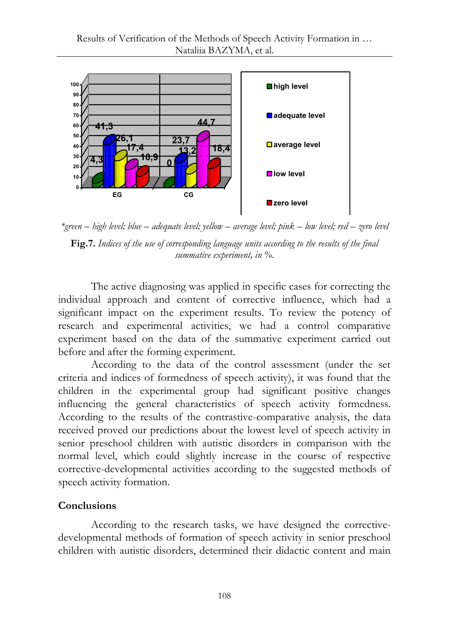

*\*green – high level; blue – adequate level; yellow – average level; pink – low level; red – zero level* **Fig.7.** *Indices of the use of corresponding language units according to the results of the final summative experiment, in %.*

The active diagnosing was applied in specific cases for correcting the individual approach and content of corrective influence, which had a significant impact on the experiment results. To review the potency of research and experimental activities, we had a control comparative experiment based on the data of the summative experiment carried out before and after the forming experiment.

According to the data of the control assessment (under the set criteria and indices of formedness of speech activity), it was found that the children in the experimental group had significant positive changes influencing the general characteristics of speech activity formedness. According to the results of the contrastive-comparative analysis, the data received proved our predictions about the lowest level of speech activity in senior preschool children with autistic disorders in comparison with the normal level, which could slightly increase in the course of respective corrective-developmental activities according to the suggested methods of speech activity formation.

# **Conclusions**

According to the research tasks, we have designed the correctivedevelopmental methods of formation of speech activity in senior preschool children with autistic disorders, determined their didactic content and main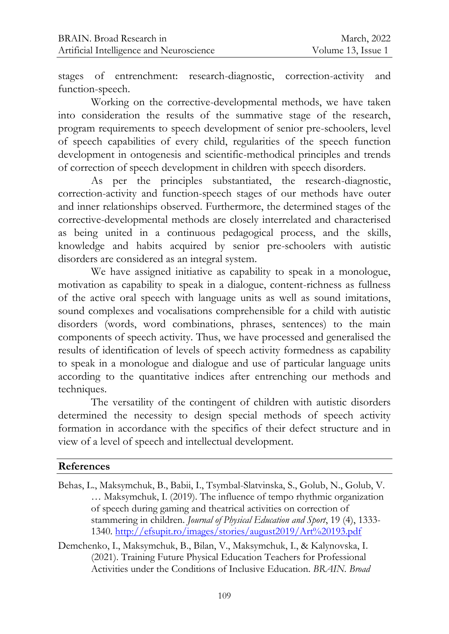stages of entrenchment: research-diagnostic, correction-activity and function-speech.

Working on the corrective-developmental methods, we have taken into consideration the results of the summative stage of the research, program requirements to speech development of senior pre-schoolers, level of speech capabilities of every child, regularities of the speech function development in ontogenesis and scientific-methodical principles and trends of correction of speech development in children with speech disorders.

As per the principles substantiated, the research-diagnostic, correction-activity and function-speech stages of our methods have outer and inner relationships observed. Furthermore, the determined stages of the corrective-developmental methods are closely interrelated and characterised as being united in a continuous pedagogical process, and the skills, knowledge and habits acquired by senior pre-schoolers with autistic disorders are considered as an integral system.

We have assigned initiative as capability to speak in a monologue, motivation as capability to speak in a dialogue, content-richness as fullness of the active oral speech with language units as well as sound imitations, sound complexes and vocalisations comprehensible for a child with autistic disorders (words, word combinations, phrases, sentences) to the main components of speech activity. Thus, we have processed and generalised the results of identification of levels of speech activity formedness as capability to speak in a monologue and dialogue and use of particular language units according to the quantitative indices after entrenching our methods and techniques.

The versatility of the contingent of children with autistic disorders determined the necessity to design special methods of speech activity formation in accordance with the specifics of their defect structure and in view of a level of speech and intellectual development.

#### **References**

- Behas, L., Maksymchuk, B., Babii, I., Tsymbal-Slatvinska, S., Golub, N., Golub, V. … Maksymchuk, I. (2019). The influence of tempo rhythmic organization of speech during gaming and theatrical activities on correction of stammering in children. *Journal of Physical Education and Sport*, 19 (4), 1333- 1340.<http://efsupit.ro/images/stories/august2019/Art%20193.pdf>
- Demchenko, I., Maksymchuk, B., Bilan, V., Maksymchuk, I., & Kalynovska, I. (2021). Training Future Physical Education Teachers for Professional Activities under the Conditions of Inclusive Education. *BRAIN. Broad*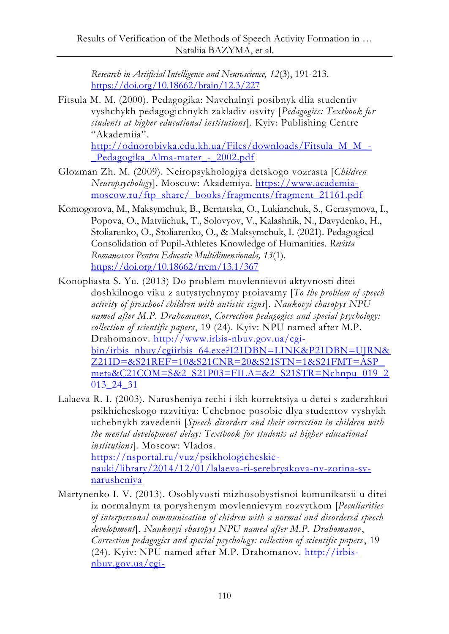*Research in Artificial Intelligence and Neuroscience, 12*(3), 191-213. <https://doi.org/10.18662/brain/12.3/227>

Fitsula M. M. (2000). Pedagogika: Navchalnyi posibnyk dlia studentiv vyshchykh pedagogichnykh zakladiv osvity [*Pedagogics: Textbook for students at higher educational institutions*]. Kyiv: Publishing Centre "Akademiia". [http://odnorobivka.edu.kh.ua/Files/downloads/Fitsula\\_M\\_M\\_-](http://odnorobivka.edu.kh.ua/Files/downloads/Fitsula_M_M_-_Pedagogika_Alma-mater_-_2002.pdf)

Pedagogika Alma-mater - 2002.pdf

- Glozman Zh. M. (2009). Neiropsykhologiya detskogo vozrasta [*Children Neuropsychology*]. Moscow: Akademiya. [https://www.academia](https://www.academia-moscow.ru/ftp_share/_books/fragments/fragment_21161.pdf)[moscow.ru/ftp\\_share/\\_books/fragments/fragment\\_21161.pdf](https://www.academia-moscow.ru/ftp_share/_books/fragments/fragment_21161.pdf)
- Komogorova, M., Maksymchuk, B., Bernatska, O., Lukianchuk, S., Gerasymova, I., Popova, O., Matviichuk, T., Solovyov, V., Kalashnik, N., Davydenko, H., Stoliarenko, O., Stoliarenko, O., & Maksymchuk, I. (2021). Pedagogical Consolidation of Pupil-Athletes Knowledge of Humanities. *Revista Romaneasca Pentru Educatie Multidimensionala, 13*(1). <https://doi.org/10.18662/rrem/13.1/367>
- Konopliasta S. Yu. (2013) Do problem movlennievoi aktyvnosti ditei doshkilnogo viku z autystychnymy proiavamy [*To the problem of speech activity of preschool children with autistic signs*]. *Naukovyi chasopys NPU named after M.P. Drahomanov*, *Correction pedagogics and special psychology: collection of scientific papers*, 19 (24). Kyiv: NPU named after M.P. Drahomanov. [http://www.irbis-nbuv.gov.ua/cgi](http://www.irbis-nbuv.gov.ua/cgi-bin/irbis_nbuv/cgiirbis_64.exe?I21DBN=LINK&P21DBN=UJRN&Z21ID=&S21REF=10&S21CNR=20&S21STN=1&S21FMT=ASP_meta&C21COM=S&2_S21P03=FILA=&2_S21STR=Nchnpu_019_2013_24_31)[bin/irbis\\_nbuv/cgiirbis\\_64.exe?I21DBN=LINK&P21DBN=UJRN&](http://www.irbis-nbuv.gov.ua/cgi-bin/irbis_nbuv/cgiirbis_64.exe?I21DBN=LINK&P21DBN=UJRN&Z21ID=&S21REF=10&S21CNR=20&S21STN=1&S21FMT=ASP_meta&C21COM=S&2_S21P03=FILA=&2_S21STR=Nchnpu_019_2013_24_31) [Z21ID=&S21REF=10&S21CNR=20&S21STN=1&S21FMT=ASP\\_](http://www.irbis-nbuv.gov.ua/cgi-bin/irbis_nbuv/cgiirbis_64.exe?I21DBN=LINK&P21DBN=UJRN&Z21ID=&S21REF=10&S21CNR=20&S21STN=1&S21FMT=ASP_meta&C21COM=S&2_S21P03=FILA=&2_S21STR=Nchnpu_019_2013_24_31) [meta&C21COM=S&2\\_S21P03=FILA=&2\\_S21STR=Nchnpu\\_019\\_2](http://www.irbis-nbuv.gov.ua/cgi-bin/irbis_nbuv/cgiirbis_64.exe?I21DBN=LINK&P21DBN=UJRN&Z21ID=&S21REF=10&S21CNR=20&S21STN=1&S21FMT=ASP_meta&C21COM=S&2_S21P03=FILA=&2_S21STR=Nchnpu_019_2013_24_31) [013\\_24\\_31](http://www.irbis-nbuv.gov.ua/cgi-bin/irbis_nbuv/cgiirbis_64.exe?I21DBN=LINK&P21DBN=UJRN&Z21ID=&S21REF=10&S21CNR=20&S21STN=1&S21FMT=ASP_meta&C21COM=S&2_S21P03=FILA=&2_S21STR=Nchnpu_019_2013_24_31)
- Lalaeva R. I. (2003). Narusheniya rechi i ikh korrektsiya u detei s zaderzhkoi psikhicheskogo razvitiya: Uchebnoe posobie dlya studentov vyshykh uchebnykh zavedenii [*Speech disorders and their correction in children with the mental development delay: Textbook for students at higher educational institutions*]. Moscow: Vlados. [https://nsportal.ru/vuz/psikhologicheskie](https://nsportal.ru/vuz/psikhologicheskie-nauki/library/2014/12/01/lalaeva-ri-serebryakova-nv-zorina-sv-narusheniya)[nauki/library/2014/12/01/lalaeva-ri-serebryakova-nv-zorina-sv-](https://nsportal.ru/vuz/psikhologicheskie-nauki/library/2014/12/01/lalaeva-ri-serebryakova-nv-zorina-sv-narusheniya)

[narusheniya](https://nsportal.ru/vuz/psikhologicheskie-nauki/library/2014/12/01/lalaeva-ri-serebryakova-nv-zorina-sv-narusheniya)

Martynenko I. V. (2013). Osoblyvosti mizhosobystisnoi komunikatsii u ditei iz normalnym ta poryshenym movlennievym rozvytkom [*Peculiarities of interpersonal communication of chidren with a normal and disordered speech development*]. *Naukovyi chasopys NPU named after M.P. Drahomanov*, *Correction pedagogics and special psychology: collection of scientific papers*, 19 (24). Kyiv: NPU named after M.P. Drahomanov. [http://irbis](http://irbis-nbuv.gov.ua/cgi-bin/irbis_nbuv/cgiirbis_64.exe?I21DBN=LINK&P21DBN=UJRN&Z21ID=&S21REF=10&S21CNR=20&S21STN=1&S21FMT=ASP_meta&C21COM=S&2_S21P03=FILA=&2_S21STR=Nchnpu_019_2013_24_70)[nbuv.gov.ua/cgi-](http://irbis-nbuv.gov.ua/cgi-bin/irbis_nbuv/cgiirbis_64.exe?I21DBN=LINK&P21DBN=UJRN&Z21ID=&S21REF=10&S21CNR=20&S21STN=1&S21FMT=ASP_meta&C21COM=S&2_S21P03=FILA=&2_S21STR=Nchnpu_019_2013_24_70)